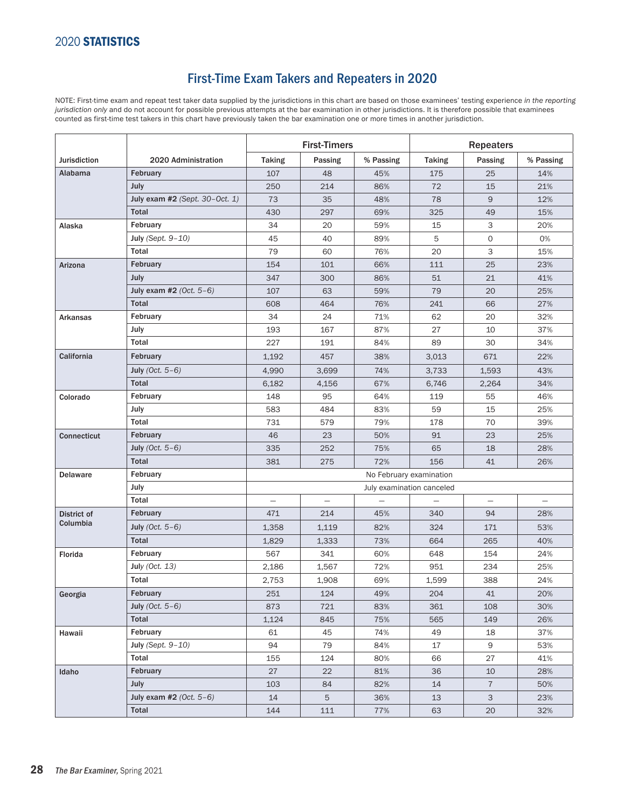#### First-Time Exam Takers and Repeaters in 2020

NOTE: First-time exam and repeat test taker data supplied by the jurisdictions in this chart are based on those examinees' testing experience *in the reporting jurisdiction only* and do not account for possible previous attempts at the bar examination in other jurisdictions. It is therefore possible that examinees counted as first-time test takers in this chart have previously taken the bar examination one or more times in another jurisdiction.

|                                   |                                | <b>First-Timers</b> |         |           | <b>Repeaters</b>        |                |           |  |  |
|-----------------------------------|--------------------------------|---------------------|---------|-----------|-------------------------|----------------|-----------|--|--|
| <b>Jurisdiction</b>               | 2020 Administration            | <b>Taking</b>       | Passing | % Passing | <b>Taking</b>           | Passing        | % Passing |  |  |
| Alabama                           | February                       | 107                 | 48      | 45%       | 175                     | 25             | 14%       |  |  |
|                                   | July                           | 250                 | 214     | 86%       | 72                      | 15             | 21%       |  |  |
|                                   | July exam #2 (Sept. 30-Oct. 1) | 73                  | 35      | 48%       | 78                      | 9              | 12%       |  |  |
|                                   | <b>Total</b>                   | 430                 | 297     | 69%       | 325                     | 49             | 15%       |  |  |
| Alaska                            | February                       | 34                  | 20      | 59%       | 15                      | 3              | 20%       |  |  |
|                                   | July (Sept. 9-10)              | 45                  | 40      | 89%       | 5                       | 0              | 0%        |  |  |
|                                   | Total                          | 79                  | 60      | 76%       | 20                      | З              | 15%       |  |  |
| Arizona                           | February                       | 154                 | 101     | 66%       | 111                     | 25             | 23%       |  |  |
|                                   | July                           | 347                 | 300     | 86%       | 51                      | 21             | 41%       |  |  |
|                                   | July exam #2 $(Oct. 5-6)$      | 107                 | 63      | 59%       | 79                      | 20             | 25%       |  |  |
|                                   | <b>Total</b>                   | 608                 | 464     | 76%       | 241                     | 66             | 27%       |  |  |
| Arkansas                          | February                       | 34                  | 24      | 71%       | 62                      | 20             | 32%       |  |  |
|                                   | July                           | 193                 | 167     | 87%       | 27                      | 10             | 37%       |  |  |
|                                   | Total                          | 227                 | 191     | 84%       | 89                      | 30             | 34%       |  |  |
| California                        | February                       | 1,192               | 457     | 38%       | 3,013                   | 671            | 22%       |  |  |
|                                   | July (Oct. $5-6$ )             | 4,990               | 3,699   | 74%       | 3,733                   | 1,593          | 43%       |  |  |
|                                   | <b>Total</b>                   | 6,182               | 4.156   | 67%       | 6,746                   | 2,264          | 34%       |  |  |
| Colorado                          | February                       | 148                 | 95      | 64%       | 119                     | 55             | 46%       |  |  |
|                                   | July                           | 583                 | 484     | 83%       | 59                      | 15             | 25%       |  |  |
|                                   | Total                          | 731                 | 579     | 79%       | 178                     | 70             | 39%       |  |  |
| Connecticut                       | February                       | 46                  | 23      | 50%       | 91                      | 23             | 25%       |  |  |
|                                   | July (Oct. $5-6$ )             | 335                 | 252     | 75%       | 65                      | 18             | 28%       |  |  |
|                                   | <b>Total</b>                   | 381                 | 275     | 72%       | 156                     | 41             | 26%       |  |  |
| <b>Delaware</b>                   | February                       |                     |         |           | No February examination |                |           |  |  |
| July<br>July examination canceled |                                |                     |         |           |                         |                |           |  |  |
|                                   | Total                          |                     |         |           |                         |                |           |  |  |
| District of                       | February                       | 471                 | 214     | 45%       | 340                     | 94             | 28%       |  |  |
| Columbia                          | July (Oct. $5-6$ )             | 1,358               | 1,119   | 82%       | 324                     | 171            | 53%       |  |  |
|                                   | <b>Total</b>                   | 1,829               | 1,333   | 73%       | 664                     | 265            | 40%       |  |  |
| Florida                           | February                       | 567                 | 341     | 60%       | 648                     | 154            | 24%       |  |  |
|                                   | <b>July (Oct. 13)</b>          | 2,186               | 1,567   | 72%       | 951                     | 234            | 25%       |  |  |
|                                   | Total                          | 2,753               | 1,908   | 69%       | 1,599                   | 388            | 24%       |  |  |
| Georgia                           | February                       | 251                 | 124     | 49%       | 204                     | 41             | 20%       |  |  |
|                                   | July (Oct. $5-6$ )             | 873                 | 721     | 83%       | 361                     | 108            | 30%       |  |  |
|                                   | Total                          | 1,124               | 845     | 75%       | 565                     | 149            | 26%       |  |  |
| Hawaii                            | February                       | 61                  | 45      | 74%       | 49                      | 18             | 37%       |  |  |
|                                   | July (Sept. $9-10$ )           | 94                  | 79      | 84%       | 17                      | 9              | 53%       |  |  |
|                                   | Total                          | 155                 | 124     | 80%       | 66                      | 27             | 41%       |  |  |
| Idaho                             | February                       | 27                  | 22      | 81%       | 36                      | 10             | 28%       |  |  |
|                                   | <b>July</b>                    | 103                 | 84      | 82%       | 14                      | $\overline{7}$ | 50%       |  |  |
|                                   | July exam #2 $(Oct. 5-6)$      | 14                  | 5       | 36%       | 13                      | 3              | 23%       |  |  |
|                                   | Total                          | 144                 | 111     | 77%       | 63                      | 20             | 32%       |  |  |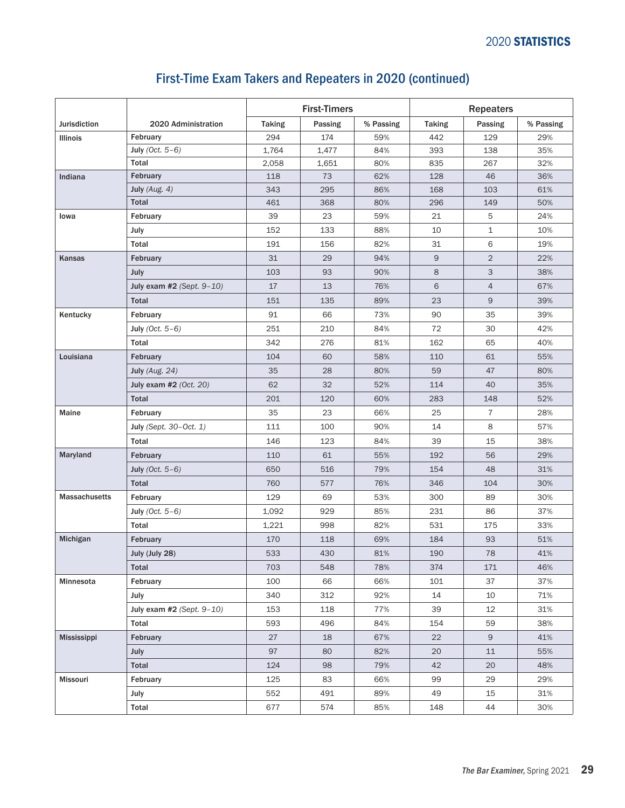|                      |                                | <b>First-Timers</b> |         |           | <b>Repeaters</b> |                |           |  |
|----------------------|--------------------------------|---------------------|---------|-----------|------------------|----------------|-----------|--|
| Jurisdiction         | 2020 Administration            | <b>Taking</b>       | Passing | % Passing | <b>Taking</b>    | Passing        | % Passing |  |
| Illinois             | February                       | 294                 | 174     | 59%       | 442              | 129            | 29%       |  |
|                      | July (Oct. $5-6$ )             | 1,764               | 1,477   | 84%       | 393              | 138            | 35%       |  |
|                      | <b>Total</b>                   | 2,058               | 1,651   | 80%       | 835              | 267            | 32%       |  |
| Indiana              | February                       | 118                 | 73      | 62%       | 128              | 46             | 36%       |  |
|                      | July $(Aug. 4)$                | 343                 | 295     | 86%       | 168              | 103            | 61%       |  |
|                      | <b>Total</b>                   | 461                 | 368     | 80%       | 296              | 149            | 50%       |  |
| Iowa                 | February                       | 39                  | 23      | 59%       | 21               | 5              | 24%       |  |
|                      | July                           | 152                 | 133     | 88%       | 10               | 1              | 10%       |  |
|                      | Total                          | 191                 | 156     | 82%       | 31               | 6              | 19%       |  |
| Kansas               | February                       | 31                  | 29      | 94%       | 9                | $\overline{2}$ | 22%       |  |
|                      | July                           | 103                 | 93      | 90%       | 8                | 3              | 38%       |  |
|                      | July exam #2 (Sept. $9-10$ )   | 17                  | 13      | 76%       | 6                | $\overline{4}$ | 67%       |  |
|                      | <b>Total</b>                   | 151                 | 135     | 89%       | 23               | 9              | 39%       |  |
| Kentucky             | February                       | 91                  | 66      | 73%       | 90               | 35             | 39%       |  |
|                      | July (Oct. $5-6$ )             | 251                 | 210     | 84%       | 72               | 30             | 42%       |  |
|                      | Total                          | 342                 | 276     | 81%       | 162              | 65             | 40%       |  |
| Louisiana            | February                       | 104                 | 60      | 58%       | 110              | 61             | 55%       |  |
|                      | July (Aug. 24)                 | 35                  | 28      | 80%       | 59               | 47             | 80%       |  |
|                      | July exam #2 (Oct. 20)         | 62                  | 32      | 52%       | 114              | 40             | 35%       |  |
|                      | <b>Total</b>                   | 201                 | 120     | 60%       | 283              | 148            | 52%       |  |
| Maine                | February                       | 35                  | 23      | 66%       | 25               | $\overline{7}$ | 28%       |  |
|                      | July (Sept. 30-Oct. 1)         | 111                 | 100     | 90%       | 14               | 8              | 57%       |  |
|                      | Total                          | 146                 | 123     | 84%       | 39               | 15             | 38%       |  |
| Maryland             | February                       | 110                 | 61      | 55%       | 192              | 56             | 29%       |  |
|                      | July (Oct. $5-6$ )             | 650                 | 516     | 79%       | 154              | 48             | 31%       |  |
|                      | Total                          | 760                 | 577     | 76%       | 346              | 104            | 30%       |  |
| <b>Massachusetts</b> | February                       | 129                 | 69      | 53%       | 300              | 89             | 30%       |  |
|                      | July (Oct. $5-6$ )             | 1,092               | 929     | 85%       | 231              | 86             | 37%       |  |
|                      | Total                          | 1,221               | 998     | 82%       | 531              | 175            | 33%       |  |
| Michigan             | February                       | 170                 | 118     | 69%       | 184              | 93             | 51%       |  |
|                      | July (July 28)                 | 533                 | 430     | 81%       | 190              | 78             | 41%       |  |
|                      | Total                          | 703                 | 548     | 78%       | 374              | 171            | 46%       |  |
| Minnesota            | February                       | 100                 | 66      | 66%       | 101              | 37             | 37%       |  |
|                      | July                           | 340                 | 312     | 92%       | 14               | 10             | 71%       |  |
|                      | July exam $#2$ (Sept. $9-10$ ) | 153                 | 118     | 77%       | 39               | 12             | 31%       |  |
|                      | Total                          | 593                 | 496     | 84%       | 154              | 59             | 38%       |  |
| Mississippi          | February                       | 27                  | 18      | 67%       | 22               | $\mathsf 9$    | 41%       |  |
|                      | <b>July</b>                    | 97                  | 80      | 82%       | 20               | 11             | 55%       |  |
|                      | Total                          | 124                 | 98      | 79%       | 42               | 20             | 48%       |  |
| Missouri             | February                       | 125                 | 83      | 66%       | 99               | 29             | 29%       |  |
|                      | July                           | 552                 | 491     | 89%       | 49               | 15             | 31%       |  |
|                      | Total                          | 677                 | 574     | 85%       | 148              | 44             | 30%       |  |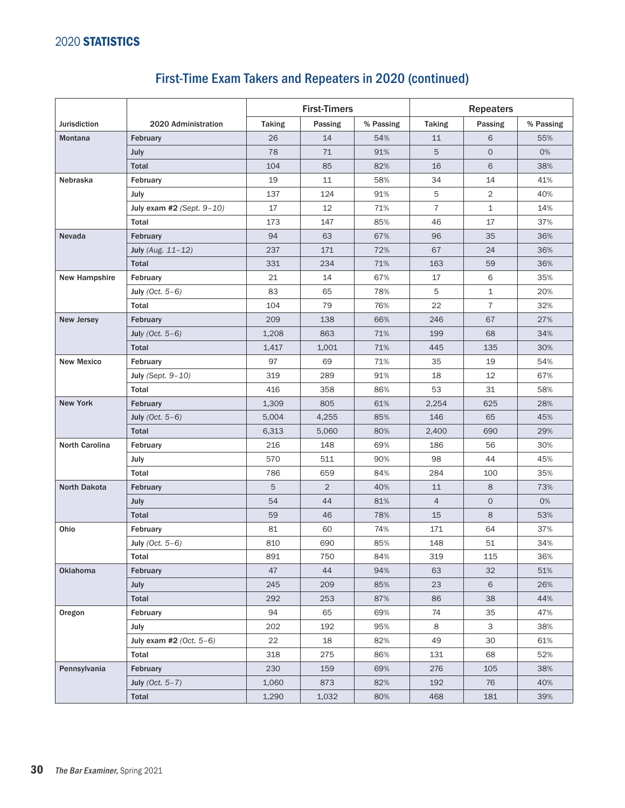#### Jurisdiction 2020 Administration First-Timers and the Repeaters Taking Passing % Passing Taking Passing % Passing Montana February 26 14 54% 11 6 55% July 78 71 91% 5 0 0% Total 104 | 85 | 82% | 16 | 6 | 38% Nebraska February 19 11 58% 34 14 41% July 137 124 91% 5 2 40% July exam #2 *(Sept. 9–10)* 17 12 71% 7 1 14% Total 173 147 85% 46 17 37% Nevada February 94 63 67% 96 35 36% July *(Aug. 11–12)* 237 171 72% 67 24 36% Total 331 234 71% 163 59 36% New Hampshire February 121 21 14 67% 17 6 35% July *(Oct. 5–6)* 83 65 78% 5 1 20% Total 104 79 76% 22 7 32% New Jersey February 209 138 66% 246 67 27% July (Oct. 5–6) | 1,208 | 863 | 71% | 199 | 68 | 34% Total 1,417 1,001 71% 445 135 30% New Mexico | February | 97 | 69 | 71% | 35 | 19 | 54% July *(Sept. 9–10)* 319 289 91% 18 12 67% Total | 416 | 358 | 86% | 53 | 31 | 58% New York | February | 1,309 | 805 | 61% | 2,254 | 625 | 28% July *(Oct. 5–6)* 5,004 4,255 85% 146 65 45% Total 6,313 5,060 80% 2,400 690 29% North Carolina February 216 148 69% 186 56 30% July 570 511 90% 98 44 45% Total 786 659 84% 284 100 35% North Dakota February 5 2 40% 11 8 73% July 101 - 100 - 100 - 100 - 100 - 100 - 100 - 100 - 100 - 100 - 100 - 100 - 100 - 100 - 100 - 100 - 100 - 100 Total 59 46 78% 15 8 53% Ohio February 81 60 74% 171 64 37% July *(Oct. 5–6)* 810 690 85% 148 51 34% Total 891 750 84% 319 115 36% Oklahoma February 47 44 94% 63 32 51% July 200 | 245 | 209 | 85% | 23 | 6 | 26% Total 292 253 87% 86 38 44% Oregon February 94 65 69% 74 35 47% July 202 192 95% 8 3 38% July exam #2 *(Oct. 5–6)* 22 18 82% 49 30 61% Total 318 275 86% 131 68 52% Pennsylvania |February | 230 | 159 | 69% | 276 | 105 | 38% July *(Oct. 5–7)* 1,060 873 82% 192 76 40% Total 1,290 | 1,032 | 80% | 468 | 181 | 39%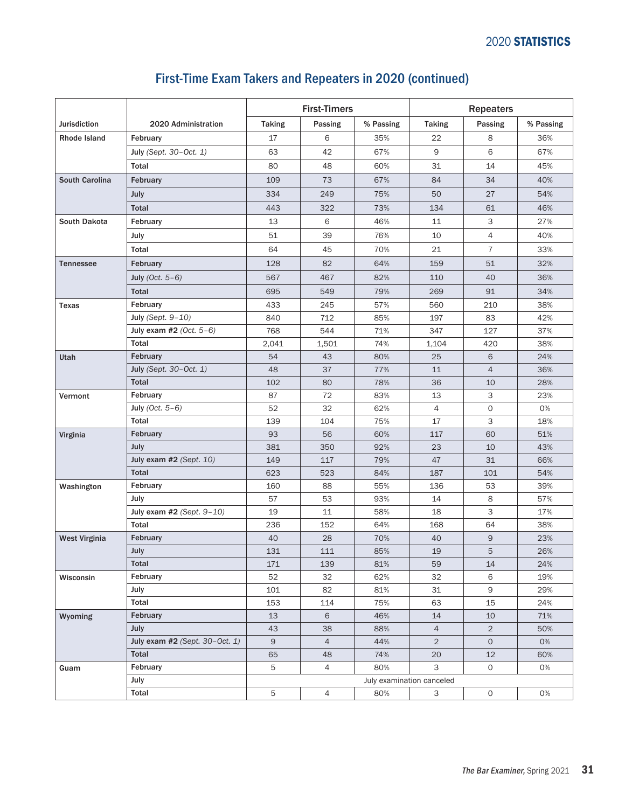|                       |                                  | <b>First-Timers</b>       |                |            | <b>Repeaters</b> |                    |            |  |
|-----------------------|----------------------------------|---------------------------|----------------|------------|------------------|--------------------|------------|--|
| <b>Jurisdiction</b>   | 2020 Administration              | <b>Taking</b>             | Passing        | % Passing  | <b>Taking</b>    | Passing            | % Passing  |  |
| Rhode Island          | February                         | 17                        | 6              | 35%        | 22               | 8                  | 36%        |  |
|                       | July (Sept. 30-Oct. 1)           | 63                        | 42             | 67%        | 9                | 6                  | 67%        |  |
|                       | Total                            | 80                        | 48             | 60%        | 31               | 14                 | 45%        |  |
| <b>South Carolina</b> | February                         | 109                       | 73             | 67%        | 84               | 34                 | 40%        |  |
|                       | July                             | 334                       | 249            | 75%        | 50               | 27                 | 54%        |  |
|                       | <b>Total</b>                     | 443                       | 322            | 73%        | 134              | 61                 | 46%        |  |
| South Dakota          | February                         | 13                        | 6              | 46%        | 11               | 3                  | 27%        |  |
|                       | July                             | 51                        | 39             | 76%        | 10               | $\overline{4}$     | 40%        |  |
|                       | Total                            | 64                        | 45             | 70%        | 21               | $\overline{7}$     | 33%        |  |
| <b>Tennessee</b>      | February                         | 128                       | 82             | 64%        | 159              | 51                 | 32%        |  |
|                       | July (Oct. $5-6$ )               | 567                       | 467            | 82%        | 110              | 40                 | 36%        |  |
|                       | Total                            | 695                       | 549            | 79%        | 269              | 91                 | 34%        |  |
| Texas                 | February                         | 433                       | 245            | 57%        | 560              | 210                | 38%        |  |
|                       | July (Sept. $9-10$ )             | 840                       | 712            | 85%        | 197              | 83                 | 42%        |  |
|                       | July exam #2 $(Oct. 5-6)$        | 768                       | 544            | 71%        | 347              | 127                | 37%        |  |
|                       | Total                            | 2,041                     | 1,501          | 74%        | 1,104            | 420                | 38%        |  |
| Utah                  | February                         | 54                        | 43             | 80%        | 25               | 6                  | 24%        |  |
|                       | July (Sept. 30-Oct. 1)           | 48                        | 37             | 77%        | 11               | $\overline{4}$     | 36%        |  |
|                       | Total                            | 102                       | 80             | 78%        | 36               | 10                 | 28%        |  |
| Vermont               | February                         | 87                        | 72             | 83%        | 13               | 3                  | 23%        |  |
|                       | July (Oct. $5-6$ )               | 52                        | 32             | 62%        | 4                | $\circ$            | 0%         |  |
|                       | Total                            | 139                       | 104            | 75%        | 17               | 3                  | 18%        |  |
| Virginia              | February                         | 93                        | 56             | 60%        | 117              | 60                 | 51%        |  |
|                       | July                             | 381                       | 350            | 92%        | 23               | 10                 | 43%        |  |
|                       | July exam $#2$ (Sept. 10)        | 149                       | 117            | 79%        | 47               | 31                 | 66%        |  |
|                       | Total                            | 623                       | 523            | 84%        | 187              | 101                | 54%        |  |
| Washington            | February                         | 160                       | 88             | 55%        | 136              | 53                 | 39%        |  |
|                       | July                             | 57                        | 53             | 93%        | 14               | 8                  | 57%        |  |
|                       | July exam $#2$ (Sept. $9-10$ )   | 19                        | 11             | 58%        | 18               | 3                  | 17%        |  |
|                       | Total<br>February                | 236<br>40                 | 152<br>28      | 64%        | 168<br>40        | 64<br>$\mathsf{9}$ | 38%<br>23% |  |
| <b>West Virginia</b>  | July                             | 131                       | 111            | 70%<br>85% | 19               | 5                  | 26%        |  |
|                       | Total                            | 171                       | 139            | 81%        | 59               | 14                 | 24%        |  |
| Wisconsin             | February                         | 52                        | 32             | 62%        | 32               | 6                  | 19%        |  |
|                       | July                             | 101                       | 82             | 81%        | 31               | 9                  | 29%        |  |
|                       | Total                            | 153                       | 114            | 75%        | 63               | 15                 | 24%        |  |
| Wyoming               | February                         | 13                        | 6              | 46%        | 14               | 10                 | 71%        |  |
|                       | <b>July</b>                      | 43                        | 38             | 88%        | $\overline{4}$   | $\overline{2}$     | 50%        |  |
|                       | July exam $#2$ (Sept. 30-Oct. 1) | $\overline{9}$            | $\overline{4}$ | 44%        | $\overline{2}$   | $\circ$            | 0%         |  |
|                       | Total                            | 65                        | 48             | 74%        | 20               | 12                 | 60%        |  |
| Guam                  | February                         | 5                         | $\overline{4}$ | 80%        | 3                | 0                  | 0%         |  |
|                       | July                             | July examination canceled |                |            |                  |                    |            |  |
|                       | Total                            | 5                         | $\overline{4}$ | 80%        | 3                | 0                  | 0%         |  |